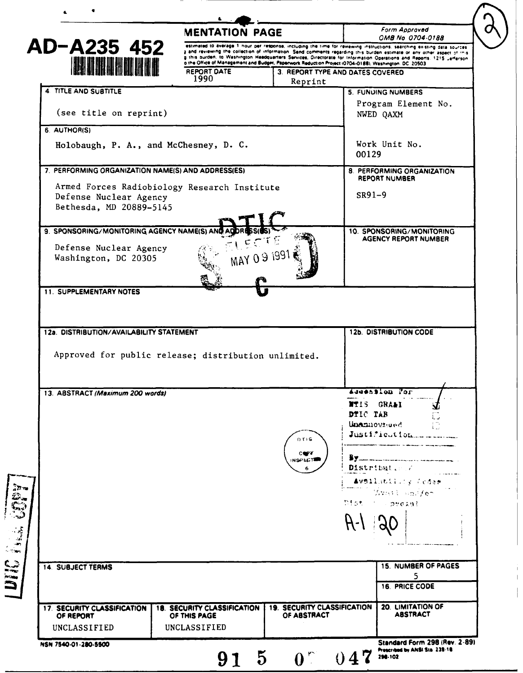|                                                               | <b>MENTATION PAGE</b>              |                                                                                                                                                                                                                                                                                                                                                           |          | Form Approved                                                                                    |
|---------------------------------------------------------------|------------------------------------|-----------------------------------------------------------------------------------------------------------------------------------------------------------------------------------------------------------------------------------------------------------------------------------------------------------------------------------------------------------|----------|--------------------------------------------------------------------------------------------------|
| AD-A235 452<br><b>I BU DI ITALIAN</b><br>4 TITLE AND SUBTITLE |                                    | estimated to average 1 nour per response, including the time for reviewing instructions. searching existing data sources                                                                                                                                                                                                                                  |          | OMB No 0704-0188                                                                                 |
|                                                               |                                    | a and reviewing the collection of information. Send comments regarding this burden estimate or any other aspect of this<br>g this burden, to Washington Headquarters Services, Directorate for Information Operations and Reports, 1215 "efferson<br>o the Office of Management and Budget, Paperwork Reduction Project (0704-0188), Washington, DC 20503 |          |                                                                                                  |
|                                                               | REPORT DATE                        | 3. REPORT TYPE AND DATES COVERED                                                                                                                                                                                                                                                                                                                          |          |                                                                                                  |
|                                                               | 1990                               | Reprint                                                                                                                                                                                                                                                                                                                                                   |          |                                                                                                  |
|                                                               |                                    |                                                                                                                                                                                                                                                                                                                                                           |          | 5. FUNUING NUMBERS                                                                               |
| (see title on reprint)                                        |                                    |                                                                                                                                                                                                                                                                                                                                                           |          | Program Element No.<br>NWED QAXM                                                                 |
| 6. AUTHOR(S)                                                  |                                    |                                                                                                                                                                                                                                                                                                                                                           |          |                                                                                                  |
| Holobaugh, P. A., and McChesney, D. C.                        |                                    |                                                                                                                                                                                                                                                                                                                                                           | 00129    | Work Unit No.                                                                                    |
| 7. PERFORMING ORGANIZATION NAME(S) AND ADDRESS(ES)            |                                    |                                                                                                                                                                                                                                                                                                                                                           |          | 8. PERFORMING ORGANIZATION                                                                       |
| Armed Forces Radiobiology Research Institute                  |                                    |                                                                                                                                                                                                                                                                                                                                                           |          | REPORT NUMBER                                                                                    |
| Defense Nuclear Agency                                        |                                    |                                                                                                                                                                                                                                                                                                                                                           | $SR91-9$ |                                                                                                  |
| Bethesda, MD 20889-5145                                       |                                    |                                                                                                                                                                                                                                                                                                                                                           |          |                                                                                                  |
| 9. SPONSORING/MONITORING AGENCY NAME(S) AN                    |                                    |                                                                                                                                                                                                                                                                                                                                                           |          | 10. SPONSORING/MONITORING                                                                        |
|                                                               |                                    |                                                                                                                                                                                                                                                                                                                                                           |          | <b>AGENCY REPORT NUMBER</b>                                                                      |
| Defense Nuclear Agency<br>Washington, DC 20305                | MAY 09 199                         |                                                                                                                                                                                                                                                                                                                                                           |          |                                                                                                  |
|                                                               |                                    |                                                                                                                                                                                                                                                                                                                                                           |          |                                                                                                  |
|                                                               |                                    |                                                                                                                                                                                                                                                                                                                                                           |          |                                                                                                  |
| 11. SUPPLEMENTARY NOTES                                       |                                    |                                                                                                                                                                                                                                                                                                                                                           |          |                                                                                                  |
| 12a. DISTRIBUTION/AVAILABILITY STATEMENT                      |                                    |                                                                                                                                                                                                                                                                                                                                                           |          | <b>12b. DISTRIBUTION CODE</b>                                                                    |
| Approved for public release; distribution unlimited.          |                                    |                                                                                                                                                                                                                                                                                                                                                           |          |                                                                                                  |
| 13. ABSTRACT (Maximum 200 words)                              |                                    |                                                                                                                                                                                                                                                                                                                                                           |          | Addension For                                                                                    |
|                                                               |                                    |                                                                                                                                                                                                                                                                                                                                                           |          | <b>NTIS GRALI</b>                                                                                |
|                                                               |                                    |                                                                                                                                                                                                                                                                                                                                                           | DTIC TAB | L.                                                                                               |
|                                                               |                                    |                                                                                                                                                                                                                                                                                                                                                           |          | Unamowreed                                                                                       |
|                                                               |                                    | DTIG                                                                                                                                                                                                                                                                                                                                                      |          |                                                                                                  |
|                                                               |                                    | <b>COPY</b><br><b>INSPECTE</b>                                                                                                                                                                                                                                                                                                                            |          |                                                                                                  |
|                                                               |                                    |                                                                                                                                                                                                                                                                                                                                                           |          | Distribut. A                                                                                     |
|                                                               |                                    |                                                                                                                                                                                                                                                                                                                                                           |          | <b>Avsil</b> ativiy Codem                                                                        |
|                                                               |                                    |                                                                                                                                                                                                                                                                                                                                                           |          | $\mathcal{L}_{\text{W}}$ of $\mathcal{L}_{\text{W}}$ , $\mathcal{L}_{\text{C}}$<br>Dist i pressi |
|                                                               |                                    |                                                                                                                                                                                                                                                                                                                                                           |          |                                                                                                  |
|                                                               |                                    |                                                                                                                                                                                                                                                                                                                                                           |          |                                                                                                  |
|                                                               |                                    |                                                                                                                                                                                                                                                                                                                                                           |          |                                                                                                  |
| <b>14. SUBJECT TERMS</b>                                      |                                    |                                                                                                                                                                                                                                                                                                                                                           |          | <b>15. NUMBER OF PAGES</b>                                                                       |
|                                                               |                                    |                                                                                                                                                                                                                                                                                                                                                           |          | 5<br>16. PRICE CODE                                                                              |
| 17. SECURITY CLASSIFICATION                                   | <b>18. SECURITY CLASSIFICATION</b> | <b>19. SECURITY CLASSIFICATION</b>                                                                                                                                                                                                                                                                                                                        |          | 20. LIMITATION OF                                                                                |
| OF REPORT<br>UNCLASSIFIED                                     | OF THIS PAGE<br>UNCLASSIFIED       | OF ABSTRACT                                                                                                                                                                                                                                                                                                                                               |          | <b>ABSTRACT</b>                                                                                  |

 $\begin{array}{c} \begin{array}{c} \begin{array}{c} \begin{array}{c} \end{array} \\ \begin{array}{c} \end{array} \\ \begin{array}{c} \end{array} \\ \end{array} \\ \begin{array}{c} \end{array} \end{array} \end{array}$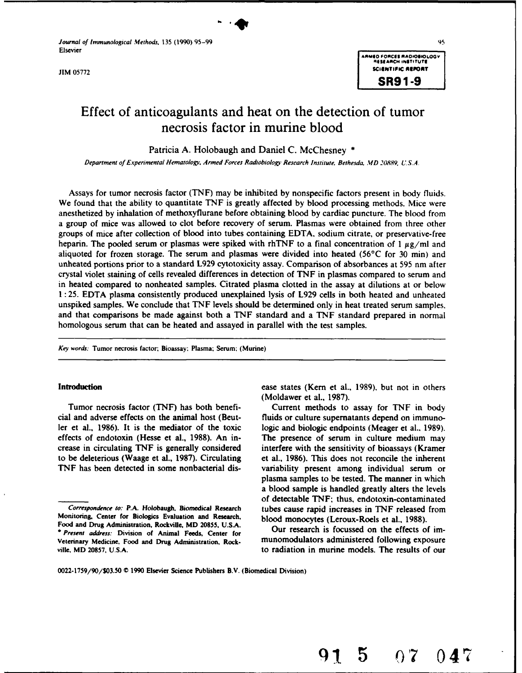*Journal of Immunological Methods,* 135 (1990) 95-99 95-99 95-99 95-99 95-99 95-99 95-99 95-99 95-99 95-99 95-99

# Effect of anticoagulants and heat on the detection of tumor necrosis factor in murine blood

Patricia A. Holobaugh and Daniel C. McChesney **\***

*Department of* Experimental Hematoloi" Armed *Forces* Radiobology Research Institute. Bethesda MD 20889 U.S.A.

Assays for tumor necrosis factor (TNF) may be inhibited by nonspecific factors present in body fluids. We found that the ability to quantitate TNF is greatly affected by blood processing methods. Mice were anesthetized by inhalation of methoxyflurane before obtaining blood by cardiac puncture. The blood from a group of mice was allowed to clot before recovery of serum. Plasmas were obtained from three other groups of mice after collection of blood into tubes containing EDTA. sodium citrate, or preservative-free heparin. The pooled serum or plasmas were spiked with rhTNF to a final concentration of 1  $\mu$ g/ml and aliquoted for frozen storage. The serum and plasmas were divided into heated (56°C for 30 min) and unheated portions prior to a standard L929 cytotoxicity assay. Comparison of absorbances at 595 nm after crystal violet staining of cells revealed differences in detection of TNF in plasmas compared to serum and in heated compared to nonheated samples. Citrated plasma clotted in the assay at dilutions at or below 1: 25. EDTA plasma consistently produced unexplained lysis of L929 cells in both heated and unheated unspiked samples. We conclude that TNF levels should be determined only in heat treated serum samples. and that comparisons be made against both a TNF standard and a TNF standard prepared in normal homologous serum that can be heated and assayed in parallel with the test samples.

*Key words:* Tumor necrosis factor; Bioassay: Plasma; Serum; (Murine)

**Introduction ease states (Kern et al., 1989)**, but not in others **can be alleady in the example of the example of the example of the example of the example of the example of the example of the example of the example of** (Moldawer et al., 1987).

Tumor necrosis factor (TNF) has both benefi- Current methods to assay for TNF in body cial and adverse effects on the animal host (Beut- fluids or culture supernatants depend on immunoler et al., 1986). It is the mediator of the toxic logic and biologic endpoints (Meager et al.. 1989). effects of endotoxin (Hesse et al., 1988). An in- The presence of serum in culture medium may crease in circulating TNF is generally considered interfere with the sensitivity of bioassays (Kramer to be deleterious (Waage et al., 1987). Circulating et al., 1986). This does not reconcile the inherent TNF has been detected in some nonbacterial dis- variability present among individual serum or plasma samples to be tested. The manner in which a blood sample is handled greatly alters the levels of detectable TNF; thus, endotoxin-contaminated *Correspondence to:* P.A. Holobaugh. Biomedical Research tubes cause rapid increases in **TNF** released from

**191 5 07 047**

Monitoring. Center for Biologics Evaluation and Research, blood monocytes (Leroux-Roels et al., 1988). Food and Drug Administration, Rockville, MD 20855, U.S.A. Our research is focussed on the effects of im-<br>\* Present address: Division of Animal Feeds Center for Our research is focussed on the effects of im-*• Present address:* Division of Animal Feeds, Center for Veterinary Medicine. Food and Drug Administration. Rock- munomodulators administered following exposure ville. MD **20857. U.S.A.** to radiation in murine models. The results of our

**<sup>0022-1759/90/\$03.50</sup> C 1990** Elsevier Science Publishers B.V. (Biomedical Division)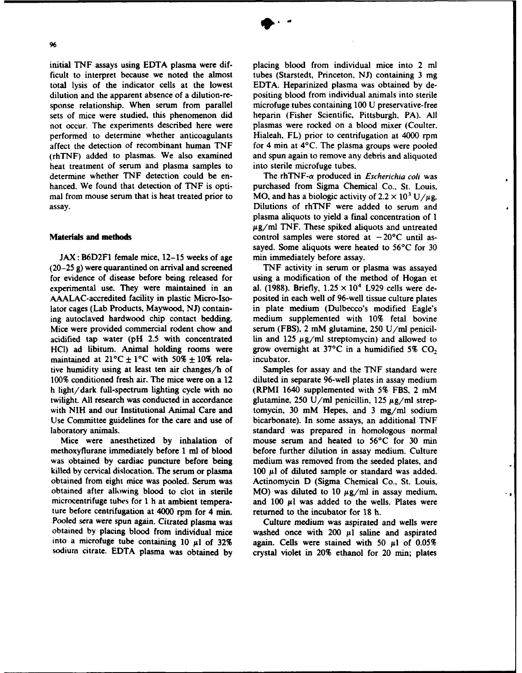initial **TNF** assays using **EDTA** plasma were dif- placing blood from individual mice into 2 ml ficult to interpret because we noted the almost tubes (Starstedt, Princeton, **NJ)** containing **3** mg total lysis of the indicator cells at the lowest **EDTA.** Heparinized plasma was obtained **by** dedilution and the apparent absence of a dilution-re- positing blood from individual animals into sterile sponse relationship. When serum from parallel microfuge tubes containing **100 U** preservative-free sets of mice were studied, this phenomenon did heparin (Fisher Scientific, Pittsburgh, PA). **All** not occur. The experiments described here were plasmas were rocked on a blood mixer (Coulter. performed to determine whether anticoagulants Hialeah, FL) prior to centrifugation at 4000 rpm affect the detection of recombinant human TNF for 4 min at 4°C. The plasma groups were pooled (rhTNF) added to plasmas. We also examined and spun again to remove any debris and aliquoted heat treatment of serum and plasma samples to into sterile microfuge tubes. determine whether TNF detection could be en-<br>The rhTNF- $\alpha$  produced in *Escherichia coli* was hanced. We found that detection of TNF is opti- purchased from Sigma Chemical Co., St. Louis, mal from mouse serum that is heat treated prior to MO, and has a biologic activity of  $2.2 \times 10^3$  U/ $\mu$ g.

**JAX:** B6D2F1 female mice, **12-15** weeks of age **min** immediately before assay. **(20-25 g)** were quarantined on arrival and screened **TNF** activity in serum or plasma was assayed experimental use. They were maintained in an al.  $(1988)$ . Briefly,  $1.25 \times 10^4$  L929 cells were de-<br>AAALAC-accredited facility in plastic Micro-Iso-<br>posited in each well of 96-well tissue culture plates ing autoclaved hardwood chip contact bedding. medium supplemented with **10%** fetal bovine Mice were provided commercial rodent chow and serum (FBS), 2 mM glutamine, **250** U/ml penicilacidified tap water (pH **2.5** with concentrated **lin** and 125 **pg/ml** streptomycin) and allowed to **HCI)** ad libitum. Animal holding rooms were grow overnight at  $37^{\circ}$ C in a humidified  $5\%$  CO<sub>2</sub> maintained at  $21^{\circ}$ C  $\pm 1^{\circ}$ C with  $50\% \pm 10\%$  rela-<br>incubator. maintained at  $21^{\circ}C \pm 1^{\circ}C$  with  $50\% \pm 10\%$  relative humidity using at least ten air changes/h of Samples for assay and the **TNF** standard were 100% conditioned fresh air. The mice were on a 12 diluted in separate 96-well plates in assay medium h light/dark full-spectrum lighting cycle with no (RPMI 1640 supplemented with 5% FBS, 2 mM twilight. All research was conducted in accordance glutamine,  $250 \text{ U/ml}$  penicillin,  $125 \mu g/ml$  strepwith NIH and our Institutional Animal Care and tomycin, **30** mM Hepes, and **3** mg/mi sodium Use Committee guidelines for the care and use of bicarbonate). In some assays, an additional **TNF**

ture before centrifugation at 4000 rpm for 4 min. returned to the incubator for 18 h. Pooled sera were spun again. Citrated plasma was Culture medium was aspirated and wells were

and spun again to remove any debris and aliquoted

assay. Dilutions of rhTNF were added to serum and plasma aliquots to yield a final concentration of **I**  $\mu$ g/ml TNF. These spiked aliquots and untreated **Materials and methods control samples were stored at**  $-20^{\circ}$ **C until as**sayed. Some aliquots were heated to **56°C** for **30**

for evidence of disease before being released for using a modification of the method of Hogan et posited in each well of 96-well tissue culture plates lator cages (Lab Products, Maywood, **NJ)** contain- in plate medium (Dulbecco's modified Eagle's

laboratory animals. standard was prepared in homologous normal Mice were anesthetized **by** inhalation of mouse serum and heated to **56°C** for **30 min** methoxyflurane immediately before **1** ml of blood before further dilution in assay medium. Culture was obtained **by** cardiac puncture before being medium was removed from the seeded plates, and killed by cervical dislocation. The serum or plasma  $100 \mu l$  of diluted sample or standard was added. obtained from eight mice was pooled. Serum was Actinomycin **D** (Sigma Chemical Co., St. Louis, obtained after allowing blood to clot in sterile MO) was diluted to  $10 \mu g/ml$  in assay medium, microcentrifuge tubes for 1 h at ambient tempera- and  $100 \mu l$  was added to the wells. Plates were

obtained by placing blood from individual mice washed once with  $200 \mu l$  saline and aspirated into a microfuge tube containing 10  $\mu$ 1 of 32% again. Cells were stained with 50  $\mu$ 1 of 0.05% sodium citrate. **EDTA** plasma was obtained by crystal violet in 20% ethanol for 20 min; plates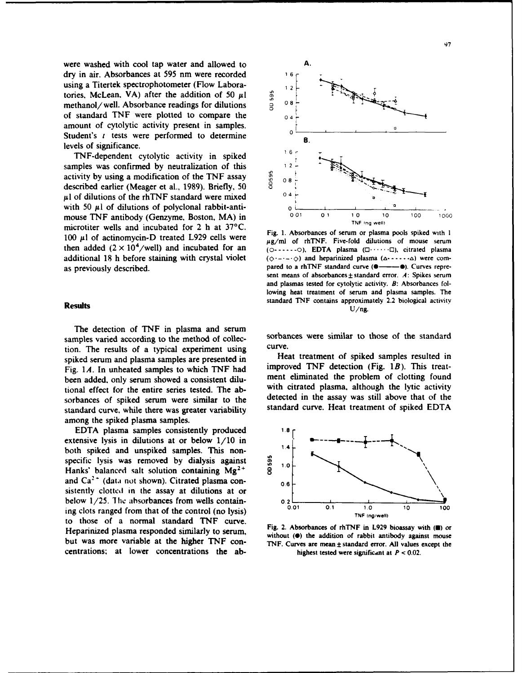were washed with cool tap water and allowed to **A.** dry in air. Absorbances at 595 nm were recorded **6** using a Titertek spectrophotometer (Flow Labora-<br>tories, McLean, VA) after the addition of 50  $\mu$ l  $\frac{6}{9}$ <br>methanol/well. Absorbance readings for dilutions  $\frac{3}{9}$  0 8 tories, McLean. VA) after the addition of 50  $\mu$ 1 methanol/well. Absorbance readings for dilutions **1 1**  $\frac{1}{2}$  **08 of standard TNF** were plotted to **compare** the <sup>04</sup> amount of cytolytic activity present in samples. Student's *t* tests were performed to determine  $\frac{1}{8}$ levels of significance.

TNF-dependent cytolytic activity in spiked **16.** samples was confirmed by neutralization of this activity by using a modification of the TNF assay described earlier (Meager et al., 1989). Briefly, 50  $\frac{8}{9}$  0 8 **activity by using a modification of the TNF assay**  $\frac{3}{8}$  <sup>6</sup> described earlier (Meager et al., 1989). Briefly, 50 **,ul** of dilutions of the rhTNF standard were mixed with 50  $\mu$ l of dilutions of polyclonal rabbit-anti-  $\sigma$ microtiter wells and incubated for 2 h at 37°C.

The detection of **TNF** in plasma and serum samples varied according to the method of collec-<br>tion. The results of a typical experiment using curve. tion. The results of a typical experiment using curve.<br>
Fleat treatment of spiked samples resulted in spiked serum and plasma samples are presented in been added, only serum showed a consistent dilusorbances of spiked serum were similar to the standard curve, while there was greater variability standard curve. Heat treatment of spiked **EDTA** among the spiked plasma samples.

EDTA plasma samples consistently produced 1.8 extensive lysis in dilutions at or below  $1/10$  in  $h$ -the principal complex. This page  $1.4$ both spiked and unspiked samples. This nonspecific lysis was removed by dialysis against<br>Hanks' balanced salt solution containing Mg<sup>2+</sup> 8 Hanks' balanced salt solution containing  $Mg^{2+}$  **1.0**<sup>4</sup> and  $Ca^{2+}$  (data not shown). Citrated plasma consistently clotted in the assay at dilutions at or ing clots ranged from that of the control (no lysis) **0.01** 0.1 1.0 **100 100 100 100 100 100 100 100 100 100 100 100 100 100 100 100 100 100 100 100 100 100 100 100 100 100** to those of a normal standard **TNF** curve. Heparinized plasma responded similarly to serum,<br>Heparinized plasma responded similarly to serum,<br>without **(0)** the addition of rabbit antibody against mouse centrations: at lower concentrations the ab-<br> $h = h$  highest tested were significant at  $P < 0.02$ .



Fig. **1.** Absorbances of serum or plasma pools spiked with **I** 100  $\mu$ l of actinomycin-D treated L929 cells were  $\mu$ g/ml of rhTNF. Five-fold dilutions of mouse serum then added (2 x 104/well) and incubated for an (o **-** . o) **EDTA** plasma **(0 ......** *0),* citrated plasma additional 18 h before staining with crystal violet  $(\diamond$  --- $\diamond$ ) and heparinized plasma  $(\triangle$ - $\cdot\cdot\cdot\cdot\triangle)$  were comas previously described. **pared to a rhTNF** standard curve ( $\bullet$   $\bullet$   $\bullet$ ). Curves represent means of absorbances  $\pm$  standard error. A: Spikes serum and plasmas tested for cytolytic activity. **B:** Absorbances following heat treatment of serum and plasma samples. The **Results Results standard TNF** contains approximately 2.2 biological activity  $U/ng$ .

Fig. *1A.* In unheated samples to which **TNF** had improved **TNF** detection (Fig. *1B).* This treattional effect for the entire series tested. The ab-<br>sorbances of spiked serum were similar to the detected in the assay was still above that of the



but was more variable at the higher **TNF** con- **TNF.** Curves are mean **±** standard error. **All** values except the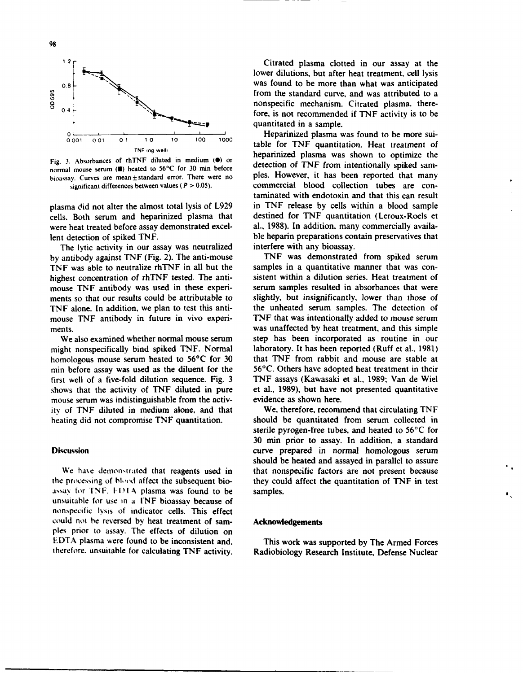

Fig. 3. Absorbances of rhTNF diluted in medium **(0)** or bioassay. Curves are mean  $\pm$  standard error. There were no significant differences between values ( $P > 0.05$ ).

were heat treated before assay demonstrated excel-

The lytic activity in our assay was neutralized interfere with any bioassay.<br>
antibody against TNF (Fig. 2). The anti-mouse TNF was demonstrated from spiked serum mouse TNF antibody was used in these experi-<br>ments so that our results could be attributable to TNF alone. In addition, we plan to test this anti-

We also examined whether normal mouse serum mouse serum was indistinguishable from the activ- evidence as shown here. **ity** of TNF diluted in medium alone, and that We, therefore, recommend that circulating TNF

assay for TNF. **1114** plasma was found to be samples. unsuitable for use in a INF bioassay because of nonspecific lysis of indicator cells. This effect could not he reversed by heat treatment of sam- **Acknowledgements pies** prior to assay. The effects of dilution on **EDTA** plasma were found to be inconsistent and, This work was supported **by** The Armed Forces

Citrated plasma clotted in our assay at the lower dilutions, but after heat treatment, cell lysis **0.8 1.** The same state of the was found to be more than what was anticipated from the standard curve, and was attributed to a quantitated in a sample.

**001 001 0o 1 0 10 100 1000** table for TNF quantitation. Heat treatment of **TNF** Ing **weill** heparinized **plasma was** shown **to** optimize **the** Fig. 3. Absorbances of miner diluted in medium ( $\bullet$ ) of detection of TNF from intentionally spiked sam-<br>normal mouse serum **(B)** heated to 56°C for 30 min before detection of TNF from intentionally spiked sam-<br>hispaceave commercial blood collection tubes are contaminated with endotoxin and that this can result plasma did not alter the almost total lysis of **L929** in **TNF** release **by** cells within a blood sample cells. Both serum and heparinized plasma that destined for **TNF** quantitation (Leroux-Roels et lent detection of spiked TNF.<br>
The lytic activity in our assay was neutralized interfere with any bioassay.

by antibody against **TNF** (Fig. 2). The anti-mouse **TNF** was demonstrated from spiked serum<br>TNF was able to neutralize rhTNF in all but the samples in a quantitative manner that was con-**TNF** was able to neutralize rhTNF in all but the samples in a quantitative manner that was con-<br>highest concentration of rhTNF tested. The anti-<br>sistent within a dilution series. Heat treatment of highest concentration of rhTNF tested. The anti-<br>mouse TNF antibody was used in these experi-<br>serum samples resulted in absorbances that were slightly, but insignificantly, lower than those of the unheated serum samples. The detection of mouse TNF antibody in future in vivo experi- TNF that was intentionally added to mouse serum ments.<br>We also examined whether normal mouse serum<br>was unaffected by heat treatment, and this simple<br>We also examined whether normal mouse serum<br>step has been incorporated as routine in our might nonspecifically bind spiked TNF. Normal laboratory. It has been reported (Ruff et al., 1981) homologous mouse serum heated to 56°C for 30 that TNF from rabbit and mouse are stable at min before assay was used as the diluent for the 56°C. Others have adopted heat treatment in their first well of a five-fold dilution sequence. Fig. 3 TNF assays (Kawasaki et al., 1989; Van de Wiel shows that the activity of TNF diluted in pure et al., 1989), but have not presented quantitative

heating did not compromise TNF quantitation. Should be quantitated from serum collected in sterile pyrogen-free tubes, and heated to 56°C for 30 min prior to assay. In addition, a standard Discussion curve prepared in normal homologous serum should be heated and assayed in parallel to assure We have demonstrated that reagents used in that nonspecific factors are not present because the processing of blood affect the subsequent bio-<br>they could affect the quantitation of TNF in test

 $\bullet$ 

therefore, unsuitable for calculating **TNF** activity. Radiobiology Research Institute, Defense Nuclear